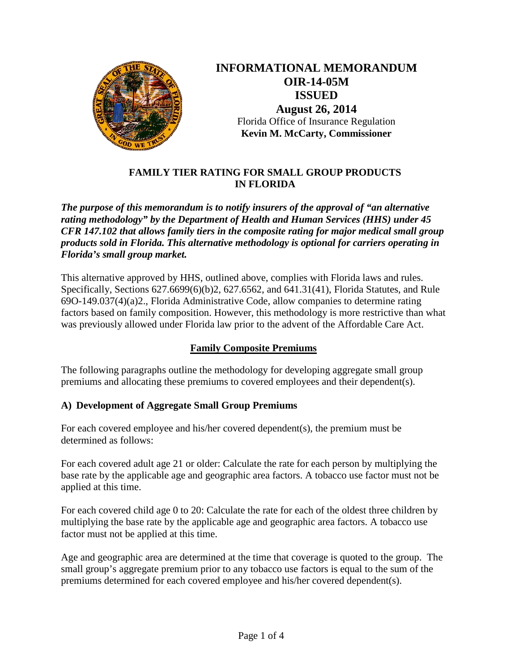

**INFORMATIONAL MEMORANDUM OIR-14-05M ISSUED August 26, 2014** Florida Office of Insurance Regulation **Kevin M. McCarty, Commissioner** 

## **FAMILY TIER RATING FOR SMALL GROUP PRODUCTS IN FLORIDA**

*The purpose of this memorandum is to notify insurers of the approval of "an alternative rating methodology" by the Department of Health and Human Services (HHS) under 45 CFR 147.102 that allows family tiers in the composite rating for major medical small group products sold in Florida. This alternative methodology is optional for carriers operating in Florida's small group market.*

This alternative approved by HHS, outlined above, complies with Florida laws and rules. Specifically, Sections 627.6699(6)(b)2, 627.6562, and 641.31(41), Florida Statutes, and Rule 69O-149.037(4)(a)2., Florida Administrative Code, allow companies to determine rating factors based on family composition. However, this methodology is more restrictive than what was previously allowed under Florida law prior to the advent of the Affordable Care Act.

## **Family Composite Premiums**

The following paragraphs outline the methodology for developing aggregate small group premiums and allocating these premiums to covered employees and their dependent(s).

## **A) Development of Aggregate Small Group Premiums**

For each covered employee and his/her covered dependent(s), the premium must be determined as follows:

For each covered adult age 21 or older: Calculate the rate for each person by multiplying the base rate by the applicable age and geographic area factors. A tobacco use factor must not be applied at this time.

For each covered child age 0 to 20: Calculate the rate for each of the oldest three children by multiplying the base rate by the applicable age and geographic area factors. A tobacco use factor must not be applied at this time.

Age and geographic area are determined at the time that coverage is quoted to the group. The small group's aggregate premium prior to any tobacco use factors is equal to the sum of the premiums determined for each covered employee and his/her covered dependent(s).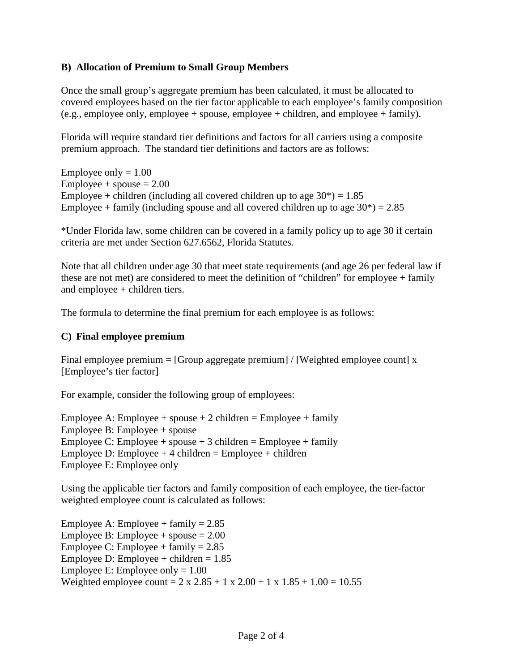#### **B) Allocation of Premium to Small Group Members**

Once the small group's aggregate premium has been calculated, it must be allocated to covered employees based on the tier factor applicable to each employee's family composition (e.g., employee only, employee + spouse, employee + children, and employee + family).

Florida will require standard tier definitions and factors for all carriers using a composite premium approach. The standard tier definitions and factors are as follows:

Employee only  $= 1.00$  $Employee + spouse = 2.00$ Employee + children (including all covered children up to age  $30^*$ ) = 1.85 Employee + family (including spouse and all covered children up to age  $30^*$ ) = 2.85

\*Under Florida law, some children can be covered in a family policy up to age 30 if certain criteria are met under Section 627.6562, Florida Statutes.

Note that all children under age 30 that meet state requirements (and age 26 per federal law if these are not met) are considered to meet the definition of "children" for employee + family and employee + children tiers.

The formula to determine the final premium for each employee is as follows:

#### **C) Final employee premium**

Final employee premium =  $[Group\,aggregation] / [Weighted\,employee\,count]$  x [Employee's tier factor]

For example, consider the following group of employees:

Employee A: Employee + spouse + 2 children = Employee + family Employee B: Employee + spouse Employee C: Employee + spouse + 3 children = Employee + family Employee D: Employee  $+4$  children = Employee  $+$  children Employee E: Employee only

Using the applicable tier factors and family composition of each employee, the tier-factor weighted employee count is calculated as follows:

Employee A: Employee + family =  $2.85$ Employee B: Employee + spouse  $= 2.00$ Employee C: Employee + family  $= 2.85$ Employee D: Employee + children  $= 1.85$ Employee E: Employee only  $= 1.00$ Weighted employee count =  $2 \times 2.85 + 1 \times 2.00 + 1 \times 1.85 + 1.00 = 10.55$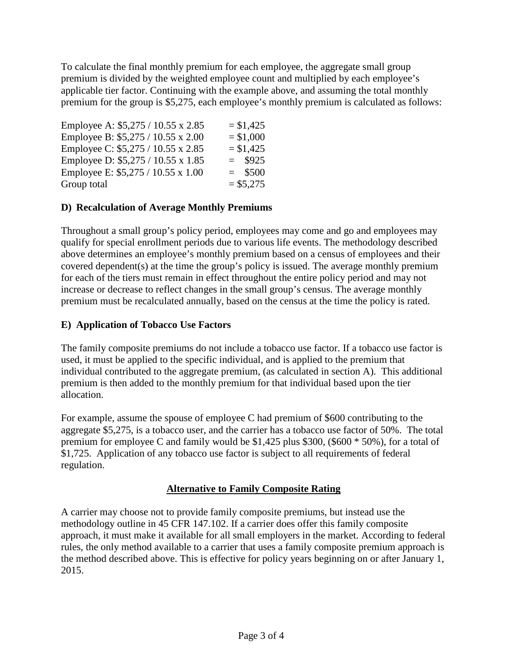To calculate the final monthly premium for each employee, the aggregate small group premium is divided by the weighted employee count and multiplied by each employee's applicable tier factor. Continuing with the example above, and assuming the total monthly premium for the group is \$5,275, each employee's monthly premium is calculated as follows:

| Employee A: \$5,275 / 10.55 x 2.85 | $= $1,425$ |
|------------------------------------|------------|
| Employee B: \$5,275 / 10.55 x 2.00 | $= $1,000$ |
| Employee C: \$5,275 / 10.55 x 2.85 | $= $1,425$ |
| Employee D: \$5,275 / 10.55 x 1.85 | $=$ \$925  |
| Employee E: \$5,275 / 10.55 x 1.00 | $=$ \$500  |
| Group total                        | $= $5,275$ |
|                                    |            |

# **D) Recalculation of Average Monthly Premiums**

Throughout a small group's policy period, employees may come and go and employees may qualify for special enrollment periods due to various life events. The methodology described above determines an employee's monthly premium based on a census of employees and their covered dependent(s) at the time the group's policy is issued. The average monthly premium for each of the tiers must remain in effect throughout the entire policy period and may not increase or decrease to reflect changes in the small group's census. The average monthly premium must be recalculated annually, based on the census at the time the policy is rated.

# **E) Application of Tobacco Use Factors**

The family composite premiums do not include a tobacco use factor. If a tobacco use factor is used, it must be applied to the specific individual, and is applied to the premium that individual contributed to the aggregate premium, (as calculated in section A). This additional premium is then added to the monthly premium for that individual based upon the tier allocation.

For example, assume the spouse of employee C had premium of \$600 contributing to the aggregate \$5,275, is a tobacco user, and the carrier has a tobacco use factor of 50%. The total premium for employee C and family would be \$1,425 plus \$300, (\$600 \* 50%), for a total of \$1,725. Application of any tobacco use factor is subject to all requirements of federal regulation.

# **Alternative to Family Composite Rating**

A carrier may choose not to provide family composite premiums, but instead use the methodology outline in 45 CFR 147.102. If a carrier does offer this family composite approach, it must make it available for all small employers in the market. According to federal rules, the only method available to a carrier that uses a family composite premium approach is the method described above. This is effective for policy years beginning on or after January 1, 2015.